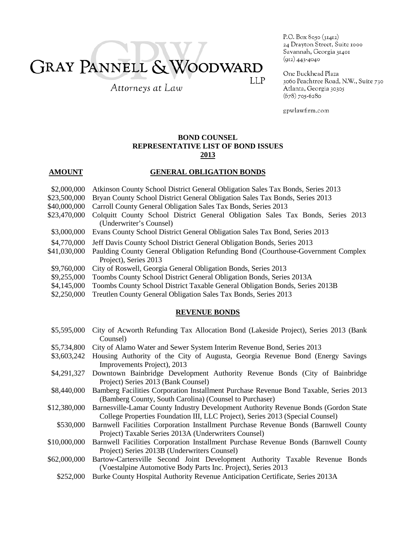# GRAY PANNELL & WOODWARD **LLP**

Attorneys at Law

P.O. Box 8050 (31412) 24 Drayton Street, Suite 1000 Savannah, Georgia 31401  $(912)$  443-4040

One Buckhead Plaza 3060 Peachtree Road, N.W., Suite 730 Atlanta, Georgia 30305  $(678)$  705-6280

gpwlawfirm.com

## **BOND COUNSEL REPRESENTATIVE LIST OF BOND ISSUES 2013**

### **AMOUNT GENERAL OBLIGATION BONDS**

- \$2,000,000 Atkinson County School District General Obligation Sales Tax Bonds, Series 2013
- \$23,500,000 Bryan County School District General Obligation Sales Tax Bonds, Series 2013
- \$40,000,000 Carroll County General Obligation Sales Tax Bonds, Series 2013
- \$23,470,000 Colquitt County School District General Obligation Sales Tax Bonds, Series 2013 (Underwriter's Counsel)
- \$3,000,000 Evans County School District General Obligation Sales Tax Bond, Series 2013
- \$4,770,000 Jeff Davis County School District General Obligation Bonds, Series 2013
- \$41,030,000 Paulding County General Obligation Refunding Bond (Courthouse-Government Complex Project), Series 2013
- \$9,760,000 City of Roswell, Georgia General Obligation Bonds, Series 2013
- \$9,255,000 Toombs County School District General Obligation Bonds, Series 2013A
- \$4,145,000 Toombs County School District Taxable General Obligation Bonds, Series 2013B
- \$2,250,000 Treutlen County General Obligation Sales Tax Bonds, Series 2013

#### **REVENUE BONDS**

- \$5,595,000 City of Acworth Refunding Tax Allocation Bond (Lakeside Project), Series 2013 (Bank Counsel)
- \$5,734,800 City of Alamo Water and Sewer System Interim Revenue Bond, Series 2013
- \$3,603,242 Housing Authority of the City of Augusta, Georgia Revenue Bond (Energy Savings Improvements Project), 2013
- \$4,291,327 Downtown Bainbridge Development Authority Revenue Bonds (City of Bainbridge Project) Series 2013 (Bank Counsel)
- \$8,440,000 Bamberg Facilities Corporation Installment Purchase Revenue Bond Taxable, Series 2013 (Bamberg County, South Carolina) (Counsel to Purchaser)
- \$12,380,000 Barnesville-Lamar County Industry Development Authority Revenue Bonds (Gordon State College Properties Foundation III, LLC Project), Series 2013 (Special Counsel)
- \$530,000 Barnwell Facilities Corporation Installment Purchase Revenue Bonds (Barnwell County Project) Taxable Series 2013A (Underwriters Counsel)
- \$10,000,000 Barnwell Facilities Corporation Installment Purchase Revenue Bonds (Barnwell County Project) Series 2013B (Underwriters Counsel)
- \$62,000,000 Bartow-Cartersville Second Joint Development Authority Taxable Revenue Bonds (Voestalpine Automotive Body Parts Inc. Project), Series 2013
	- \$252,000 Burke County Hospital Authority Revenue Anticipation Certificate, Series 2013A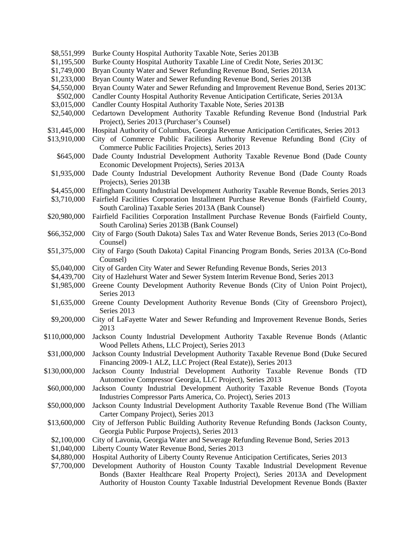| \$8,551,999   | Burke County Hospital Authority Taxable Note, Series 2013B                                                                                    |
|---------------|-----------------------------------------------------------------------------------------------------------------------------------------------|
| \$1,195,500   | Burke County Hospital Authority Taxable Line of Credit Note, Series 2013C                                                                     |
| \$1,749,000   | Bryan County Water and Sewer Refunding Revenue Bond, Series 2013A                                                                             |
| \$1,233,000   | Bryan County Water and Sewer Refunding Revenue Bond, Series 2013B                                                                             |
| \$4,550,000   | Bryan County Water and Sewer Refunding and Improvement Revenue Bond, Series 2013C                                                             |
| \$502,000     | Candler County Hospital Authority Revenue Anticipation Certificate, Series 2013A                                                              |
| \$3,015,000   | Candler County Hospital Authority Taxable Note, Series 2013B                                                                                  |
| \$2,540,000   | Cedartown Development Authority Taxable Refunding Revenue Bond (Industrial Park<br>Project), Series 2013 (Purchaser's Counsel)                |
| \$31,445,000  | Hospital Authority of Columbus, Georgia Revenue Anticipation Certificates, Series 2013                                                        |
| \$13,910,000  | City of Commerce Public Facilities Authority Revenue Refunding Bond (City of<br>Commerce Public Facilities Projects), Series 2013             |
| \$645,000     | Dade County Industrial Development Authority Taxable Revenue Bond (Dade County<br>Economic Development Projects), Series 2013A                |
| \$1,935,000   | Dade County Industrial Development Authority Revenue Bond (Dade County Roads<br>Projects), Series 2013B                                       |
| \$4,455,000   | Effingham County Industrial Development Authority Taxable Revenue Bonds, Series 2013                                                          |
| \$3,710,000   | Fairfield Facilities Corporation Installment Purchase Revenue Bonds (Fairfield County,<br>South Carolina) Taxable Series 2013A (Bank Counsel) |
| \$20,980,000  | Fairfield Facilities Corporation Installment Purchase Revenue Bonds (Fairfield County,                                                        |
|               | South Carolina) Series 2013B (Bank Counsel)                                                                                                   |
| \$66,352,000  | City of Fargo (South Dakota) Sales Tax and Water Revenue Bonds, Series 2013 (Co-Bond<br>Counsel)                                              |
| \$51,375,000  | City of Fargo (South Dakota) Capital Financing Program Bonds, Series 2013A (Co-Bond<br>Counsel)                                               |
| \$5,040,000   | City of Garden City Water and Sewer Refunding Revenue Bonds, Series 2013                                                                      |
| \$4,439,700   | City of Hazlehurst Water and Sewer System Interim Revenue Bond, Series 2013                                                                   |
| \$1,985,000   | Greene County Development Authority Revenue Bonds (City of Union Point Project),<br>Series 2013                                               |
| \$1,635,000   | Greene County Development Authority Revenue Bonds (City of Greensboro Project),<br>Series 2013                                                |
| \$9,200,000   | City of LaFayette Water and Sewer Refunding and Improvement Revenue Bonds, Series<br>2013                                                     |
| \$110,000,000 | Jackson County Industrial Development Authority Taxable Revenue Bonds (Atlantic<br>Wood Pellets Athens, LLC Project), Series 2013             |
| \$31,000,000  | Jackson County Industrial Development Authority Taxable Revenue Bond (Duke Secured                                                            |
|               | Financing 2009-1 ALZ, LLC Project (Real Estate)), Series 2013                                                                                 |
| \$130,000,000 | Jackson County Industrial Development Authority Taxable Revenue Bonds (TD                                                                     |
|               | Automotive Compressor Georgia, LLC Project), Series 2013                                                                                      |
| \$60,000,000  | Jackson County Industrial Development Authority Taxable Revenue Bonds (Toyota                                                                 |
|               | Industries Compressor Parts America, Co. Project), Series 2013                                                                                |
| \$50,000,000  | Jackson County Industrial Development Authority Taxable Revenue Bond (The William                                                             |
|               | Carter Company Project), Series 2013                                                                                                          |
| \$13,600,000  | City of Jefferson Public Building Authority Revenue Refunding Bonds (Jackson County,                                                          |
|               | Georgia Public Purpose Projects), Series 2013                                                                                                 |
| \$2,100,000   | City of Lavonia, Georgia Water and Sewerage Refunding Revenue Bond, Series 2013                                                               |
| \$1,040,000   | Liberty County Water Revenue Bond, Series 2013                                                                                                |
| \$4,880,000   | Hospital Authority of Liberty County Revenue Anticipation Certificates, Series 2013                                                           |
| \$7,700,000   | Development Authority of Houston County Taxable Industrial Development Revenue                                                                |
|               | Bonds (Baxter Healthcare Real Property Project), Series 2013A and Development                                                                 |

Authority of Houston County Taxable Industrial Development Revenue Bonds (Baxter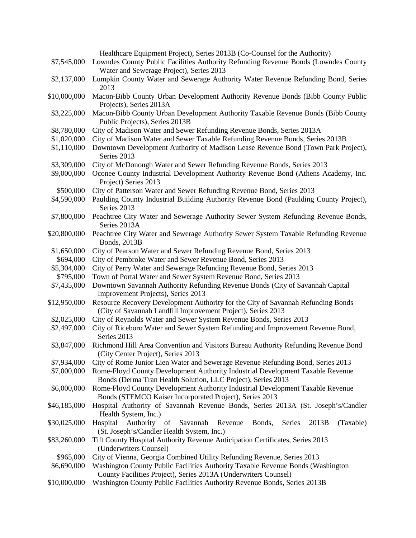|              | Healthcare Equipment Project), Series 2013B (Co-Counsel for the Authority)                   |
|--------------|----------------------------------------------------------------------------------------------|
| \$7,545,000  | Lowndes County Public Facilities Authority Refunding Revenue Bonds (Lowndes County           |
|              | Water and Sewerage Project), Series 2013                                                     |
| \$2,137,000  | Lumpkin County Water and Sewerage Authority Water Revenue Refunding Bond, Series             |
|              | 2013                                                                                         |
| \$10,000,000 | Macon-Bibb County Urban Development Authority Revenue Bonds (Bibb County Public              |
|              | Projects), Series 2013A                                                                      |
| \$3,225,000  | Macon-Bibb County Urban Development Authority Taxable Revenue Bonds (Bibb County             |
|              | Public Projects), Series 2013B                                                               |
| \$8,780,000  | City of Madison Water and Sewer Refunding Revenue Bonds, Series 2013A                        |
| \$1,020,000  | City of Madison Water and Sewer Taxable Refunding Revenue Bonds, Series 2013B                |
| \$1,110,000  | Downtown Development Authority of Madison Lease Revenue Bond (Town Park Project),            |
|              | Series 2013                                                                                  |
| \$3,309,000  | City of McDonough Water and Sewer Refunding Revenue Bonds, Series 2013                       |
| \$9,000,000  | Oconee County Industrial Development Authority Revenue Bond (Athens Academy, Inc.            |
|              | Project) Series 2013                                                                         |
| \$500,000    | City of Patterson Water and Sewer Refunding Revenue Bond, Series 2013                        |
| \$4,590,000  | Paulding County Industrial Building Authority Revenue Bond (Paulding County Project),        |
|              | Series 2013                                                                                  |
| \$7,800,000  | Peachtree City Water and Sewerage Authority Sewer System Refunding Revenue Bonds,            |
|              | Series 2013A                                                                                 |
| \$20,800,000 | Peachtree City Water and Sewerage Authority Sewer System Taxable Refunding Revenue           |
|              | <b>Bonds</b> , 2013B                                                                         |
| \$1,650,000  | City of Pearson Water and Sewer Refunding Revenue Bond, Series 2013                          |
| \$694,000    | City of Pembroke Water and Sewer Revenue Bond, Series 2013                                   |
| \$5,304,000  | City of Perry Water and Sewerage Refunding Revenue Bond, Series 2013                         |
| \$795,000    | Town of Portal Water and Sewer System Revenue Bond, Series 2013                              |
| \$7,435,000  | Downtown Savannah Authority Refunding Revenue Bonds (City of Savannah Capital                |
|              | Improvement Projects), Series 2013                                                           |
| \$12,950,000 | Resource Recovery Development Authority for the City of Savannah Refunding Bonds             |
|              | (City of Savannah Landfill Improvement Project), Series 2013                                 |
| \$2,025,000  | City of Reynolds Water and Sewer System Revenue Bonds, Series 2013                           |
| \$2,497,000  | City of Riceboro Water and Sewer System Refunding and Improvement Revenue Bond,              |
|              | Series 2013                                                                                  |
| \$3,847,000  | Richmond Hill Area Convention and Visitors Bureau Authority Refunding Revenue Bond           |
|              | (City Center Project), Series 2013                                                           |
| \$7,934,000  | City of Rome Junior Lien Water and Sewerage Revenue Refunding Bond, Series 2013              |
| \$7,000,000  | Rome-Floyd County Development Authority Industrial Development Taxable Revenue               |
|              | Bonds (Derma Tran Health Solution, LLC Project), Series 2013                                 |
| \$6,000,000  | Rome-Floyd County Development Authority Industrial Development Taxable Revenue               |
|              | Bonds (STEMCO Kaiser Incorporated Project), Series 2013                                      |
| \$46,185,000 | Hospital Authority of Savannah Revenue Bonds, Series 2013A (St. Joseph's/Candler             |
|              | Health System, Inc.)                                                                         |
| \$30,025,000 | Savannah<br>2013B<br>Hospital<br>Authority<br>Revenue<br>Bonds,<br>Series<br>(Taxable)<br>of |
|              | (St. Joseph's/Candler Health System, Inc.)                                                   |
| \$83,260,000 | Tift County Hospital Authority Revenue Anticipation Certificates, Series 2013                |
|              | (Underwriters Counsel)                                                                       |
| \$965,000    | City of Vienna, Georgia Combined Utility Refunding Revenue, Series 2013                      |
| \$6,690,000  | Washington County Public Facilities Authority Taxable Revenue Bonds (Washington              |
|              | County Facilities Project), Series 2013A (Underwriters Counsel)                              |
|              |                                                                                              |

\$10,000,000 Washington County Public Facilities Authority Revenue Bonds, Series 2013B